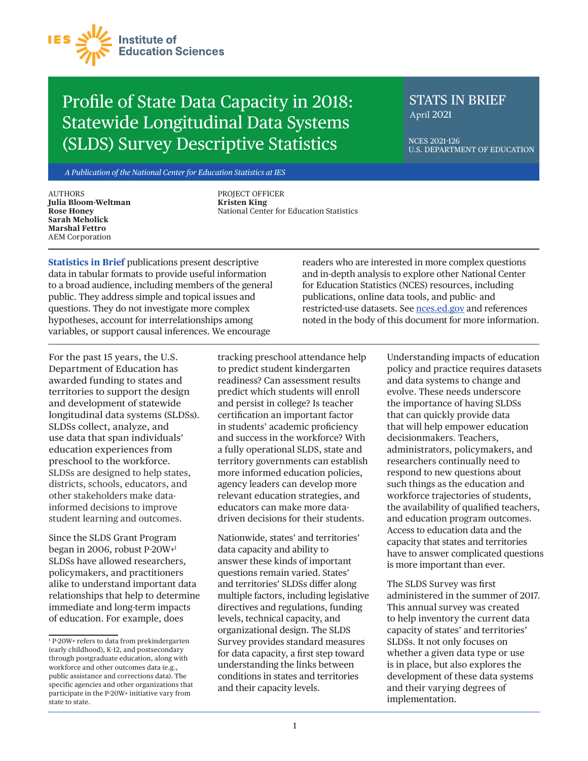

## Profile of State Data Capacity in 2018: Statewide Longitudinal Data Systems (SLDS) Survey Descriptive Statistics

### STATS IN BRIEF April 2021

NCES 2021-126 U.S. DEPARTMENT OF EDUCATION

*A Publication of the National Center for Education Statistics at IES*

**AUTHORS Julia Bloom-Weltman Rose Honey Sarah Meholick Marshal Fettro** AEM Corporation

PROJECT OFFICER **Kristen King** National Center for Education Statistics

**Statistics in Brief** publications present descriptive data in tabular formats to provide useful information to a broad audience, including members of the general public. They address simple and topical issues and questions. They do not investigate more complex hypotheses, account for interrelationships among variables, or support causal inferences. We encourage

readers who are interested in more complex questions and in-depth analysis to explore other National Center for Education Statistics (NCES) resources, including publications, online data tools, and public- and restricted-use datasets. See [nces.ed.gov](https://nces.ed.gov) and references noted in the body of this document for more information.

For the past 15 years, the U.S. Department of Education has awarded funding to states and territories to support the design and development of statewide longitudinal data systems (SLDSs). SLDSs collect, analyze, and use data that span individuals' education experiences from preschool to the workforce. SLDSs are designed to help states, districts, schools, educators, and other stakeholders make datainformed decisions to improve student learning and outcomes.

Since the SLDS Grant Program began in 2006, robust P-20W+1 SLDSs have allowed researchers, policymakers, and practitioners alike to understand important data relationships that help to determine immediate and long-term impacts of education. For example, does

tracking preschool attendance help to predict student kindergarten readiness? Can assessment results predict which students will enroll and persist in college? Is teacher certification an important factor in students' academic proficiency and success in the workforce? With a fully operational SLDS, state and territory governments can establish more informed education policies, agency leaders can develop more relevant education strategies, and educators can make more datadriven decisions for their students.

Nationwide, states' and territories' data capacity and ability to answer these kinds of important questions remain varied. States' and territories' SLDSs differ along multiple factors, including legislative directives and regulations, funding levels, technical capacity, and organizational design. The SLDS Survey provides standard measures for data capacity, a first step toward understanding the links between conditions in states and territories and their capacity levels.

Understanding impacts of education policy and practice requires datasets and data systems to change and evolve. These needs underscore the importance of having SLDSs that can quickly provide data that will help empower education decisionmakers. Teachers, administrators, policymakers, and researchers continually need to respond to new questions about such things as the education and workforce trajectories of students, the availability of qualified teachers, and education program outcomes. Access to education data and the capacity that states and territories have to answer complicated questions is more important than ever.

The SLDS Survey was first administered in the summer of 2017. This annual survey was created to help inventory the current data capacity of states' and territories' SLDSs. It not only focuses on whether a given data type or use is in place, but also explores the development of these data systems and their varying degrees of implementation.

 $^{\rm 1}$  P-20W+ refers to data from prekindergarten (early childhood), K–12, and postsecondary through postgraduate education, along with workforce and other outcomes data (e.g., public assistance and corrections data). The specific agencies and other organizations that participate in the P-20W+ initiative vary from state to state.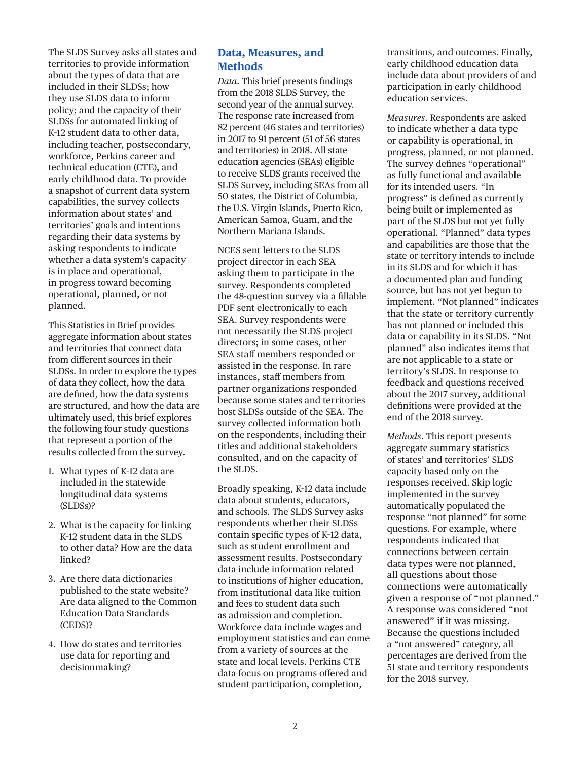The SLDS Survey asks all states and territories to provide information about the types of data that are included in their SLDSs; how they use SLDS data to inform policy; and the capacity of their SLDSs for automated linking of K–12 student data to other data, including teacher, postsecondary, workforce, Perkins career and technical education (CTE), and early childhood data. To provide a snapshot of current data system capabilities, the survey collects information about states' and territories' goals and intentions regarding their data systems by asking respondents to indicate whether a data system's capacity is in place and operational, in progress toward becoming operational, planned, or not planned.

This Statistics in Brief provides aggregate information about states and territories that connect data from different sources in their SLDSs. In order to explore the types of data they collect, how the data are defined, how the data systems are structured, and how the data are ultimately used, this brief explores the following four study questions that represent a portion of the results collected from the survey.

- 1. What types of K–12 data are included in the statewide longitudinal data systems (SLDSs)?
- 2. What is the capacity for linking K–12 student data in the SLDS to other data? How are the data linked?
- 3. Are there data dictionaries published to the state website? Are data aligned to the Common Education Data Standards (CEDS)?
- 4. How do states and territories use data for reporting and decisionmaking?

#### **Data, Measures, and Methods**

*Data*. This brief presents findings from the 2018 SLDS Survey, the second year of the annual survey. The response rate increased from 82 percent (46 states and territories) in 2017 to 91 percent (51 of 56 states and territories) in 2018. All state education agencies (SEAs) eligible to receive SLDS grants received the SLDS Survey, including SEAs from all 50 states, the District of Columbia, the U.S. Virgin Islands, Puerto Rico, American Samoa, Guam, and the Northern Mariana Islands.

NCES sent letters to the SLDS project director in each SEA asking them to participate in the survey. Respondents completed the 48-question survey via a fillable PDF sent electronically to each SEA. Survey respondents were not necessarily the SLDS project directors; in some cases, other SEA staff members responded or assisted in the response. In rare instances, staff members from partner organizations responded because some states and territories host SLDSs outside of the SEA. The survey collected information both on the respondents, including their titles and additional stakeholders consulted, and on the capacity of the SLDS.

Broadly speaking, K–12 data include data about students, educators, and schools. The SLDS Survey asks respondents whether their SLDSs contain specific types of K–12 data, such as student enrollment and assessment results. Postsecondary data include information related to institutions of higher education, from institutional data like tuition and fees to student data such as admission and completion. Workforce data include wages and employment statistics and can come from a variety of sources at the state and local levels. Perkins CTE data focus on programs offered and student participation, completion,

transitions, and outcomes. Finally, early childhood education data include data about providers of and participation in early childhood education services.

*Measures*. Respondents are asked to indicate whether a data type or capability is operational, in progress, planned, or not planned. The survey defines "operational" as fully functional and available for its intended users. "In progress" is defined as currently being built or implemented as part of the SLDS but not yet fully operational. "Planned" data types and capabilities are those that the state or territory intends to include in its SLDS and for which it has a documented plan and funding source, but has not yet begun to implement. "Not planned" indicates that the state or territory currently has not planned or included this data or capability in its SLDS. "Not planned" also indicates items that are not applicable to a state or territory's SLDS. In response to feedback and questions received about the 2017 survey, additional definitions were provided at the end of the 2018 survey.

*Methods*. This report presents aggregate summary statistics of states' and territories' SLDS capacity based only on the responses received. Skip logic implemented in the survey automatically populated the response "not planned" for some questions. For example, where respondents indicated that connections between certain data types were not planned, all questions about those connections were automatically given a response of "not planned." A response was considered "not answered" if it was missing. Because the questions included a "not answered" category, all percentages are derived from the 51 state and territory respondents for the 2018 survey.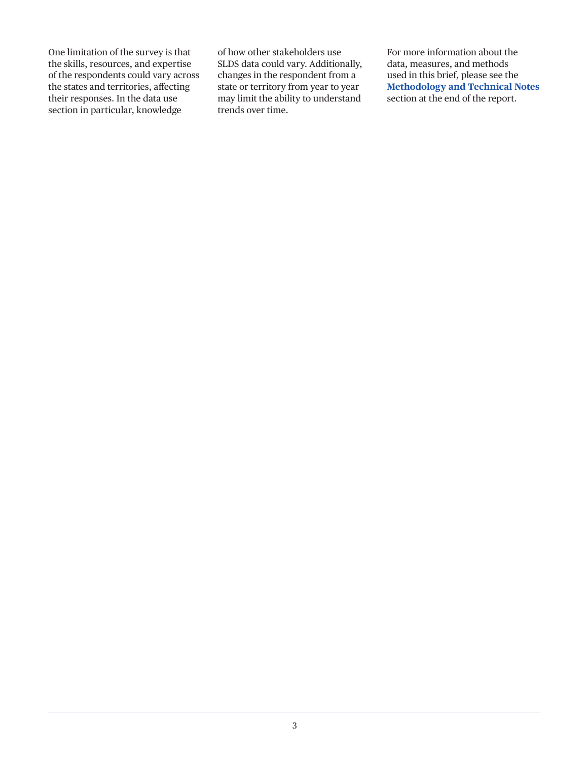One limitation of the survey is that the skills, resources, and expertise of the respondents could vary across the states and territories, affecting their responses. In the data use section in particular, knowledge

of how other stakeholders use SLDS data could vary. Additionally, changes in the respondent from a state or territory from year to year may limit the ability to understand trends over time.

For more information about the data, measures, and methods used in this brief, please see the **Methodology and Technical Notes** section at the end of the report.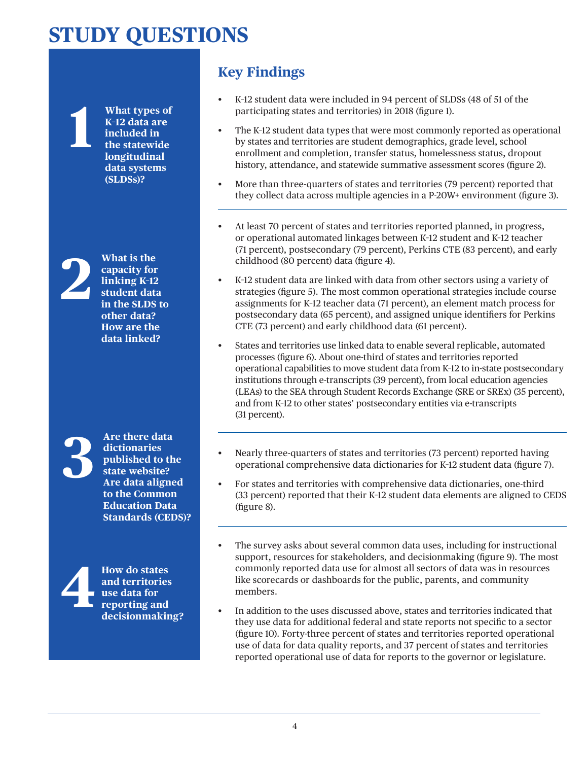## **STUDY QUESTIONS**

**1 What types of K–12 data are included in the statewide longitudinal data systems (SLDSs)?**

What is the capacity for<br>linking K-12<br>student data<br>in the SLDS **capacity for linking K–12 student data in the SLDS to other data? How are the data linked?**

**3** Are there data<br>dictionaries<br>published to th<br>state website?<br>Are data aligne **dictionaries published to the state website? Are data aligned to the Common Education Data Standards (CEDS)?**



### **Key Findings**

- K–12 student data were included in 94 percent of SLDSs (48 of 51 of the participating states and territories) in 2018 (figure 1).
- The K-12 student data types that were most commonly reported as operational by states and territories are student demographics, grade level, school enrollment and completion, transfer status, homelessness status, dropout history, attendance, and statewide summative assessment scores (figure 2).
- More than three-quarters of states and territories (79 percent) reported that they collect data across multiple agencies in a P-20W+ environment (figure 3).
- At least 70 percent of states and territories reported planned, in progress, or operational automated linkages between K–12 student and K–12 teacher (71 percent), postsecondary (79 percent), Perkins CTE (83 percent), and early childhood (80 percent) data (figure 4).
- K-12 student data are linked with data from other sectors using a variety of strategies (figure 5). The most common operational strategies include course assignments for K–12 teacher data (71 percent), an element match process for postsecondary data (65 percent), and assigned unique identifiers for Perkins CTE (73 percent) and early childhood data (61 percent).
- States and territories use linked data to enable several replicable, automated processes (figure 6). About one-third of states and territories reported operational capabilities to move student data from K–12 to in-state postsecondary institutions through e-transcripts (39 percent), from local education agencies (LEAs) to the SEA through Student Records Exchange (SRE or SREx) (35 percent), and from K–12 to other states' postsecondary entities via e-transcripts (31 percent).
- Nearly three-quarters of states and territories (73 percent) reported having operational comprehensive data dictionaries for K–12 student data (figure 7).
- For states and territories with comprehensive data dictionaries, one-third (33 percent) reported that their K–12 student data elements are aligned to CEDS (figure 8).
- The survey asks about several common data uses, including for instructional support, resources for stakeholders, and decisionmaking (figure 9). The most commonly reported data use for almost all sectors of data was in resources like scorecards or dashboards for the public, parents, and community members.
- In addition to the uses discussed above, states and territories indicated that they use data for additional federal and state reports not specific to a sector (figure 10). Forty-three percent of states and territories reported operational use of data for data quality reports, and 37 percent of states and territories reported operational use of data for reports to the governor or legislature.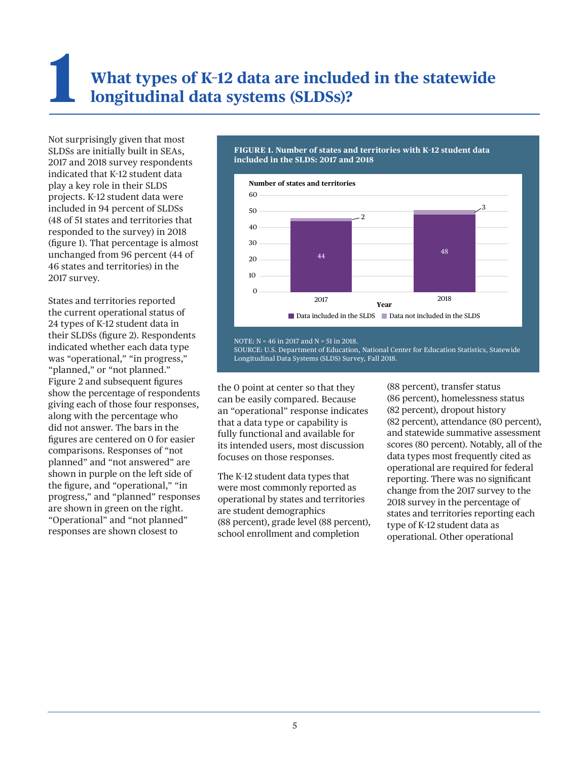# **1 What types of K–12 data are included in the statewide longitudinal data systems (SLDSs)?**

Not surprisingly given that most SLDSs are initially built in SEAs, 2017 and 2018 survey respondents indicated that K–12 student data play a key role in their SLDS projects. K–12 student data were included in 94 percent of SLDSs (48 of 51 states and territories that responded to the survey) in 2018 (figure 1). That percentage is almost unchanged from 96 percent (44 of 46 states and territories) in the 2017 survey.

States and territories reported the current operational status of 24 types of K–12 student data in their SLDSs (figure 2). Respondents indicated whether each data type was "operational," "in progress," "planned," or "not planned." Figure 2 and subsequent figures show the percentage of respondents giving each of those four responses, along with the percentage who did not answer. The bars in the figures are centered on 0 for easier comparisons. Responses of "not planned" and "not answered" are shown in purple on the left side of the figure, and "operational," "in progress," and "planned" responses are shown in green on the right. "Operational" and "not planned" responses are shown closest to

#### **FIGURE 1. Number of states and territories with K–12 student data included in the SLDS: 2017 and 2018**



NOTE:  $N = 46$  in 2017 and  $N = 51$  in 2018.

SOURCE: U.S. Department of Education, National Center for Education Statistics, Statewide Longitudinal Data Systems (SLDS) Survey, Fall 2018.

the 0 point at center so that they can be easily compared. Because an "operational" response indicates that a data type or capability is fully functional and available for its intended users, most discussion focuses on those responses.

The K–12 student data types that were most commonly reported as operational by states and territories are student demographics (88 percent), grade level (88 percent), school enrollment and completion

(88 percent), transfer status (86 percent), homelessness status (82 percent), dropout history (82 percent), attendance (80 percent), and statewide summative assessment scores (80 percent). Notably, all of the data types most frequently cited as operational are required for federal reporting. There was no significant change from the 2017 survey to the 2018 survey in the percentage of states and territories reporting each type of K–12 student data as operational. Other operational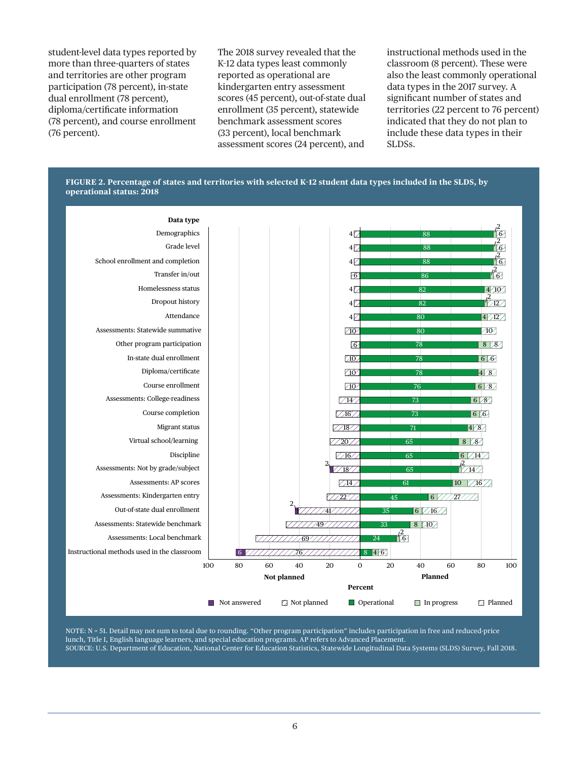student-level data types reported by more than three-quarters of states and territories are other program participation (78 percent), in-state dual enrollment (78 percent), diploma/certificate information (78 percent), and course enrollment (76 percent).

The 2018 survey revealed that the K–12 data types least commonly reported as operational are kindergarten entry assessment scores (45 percent), out-of-state dual enrollment (35 percent), statewide benchmark assessment scores (33 percent), local benchmark assessment scores (24 percent), and

instructional methods used in the classroom (8 percent). These were also the least commonly operational data types in the 2017 survey. A significant number of states and territories (22 percent to 76 percent) indicated that they do not plan to include these data types in their SLDSs.





NOTE: N = 51. Detail may not sum to total due to rounding. "Other program participation" includes participation in free and reduced-price lunch, Title I, English language learners, and special education programs. AP refers to Advanced Placement. SOURCE: U.S. Department of Education, National Center for Education Statistics, Statewide Longitudinal Data Systems (SLDS) Survey, Fall 2018.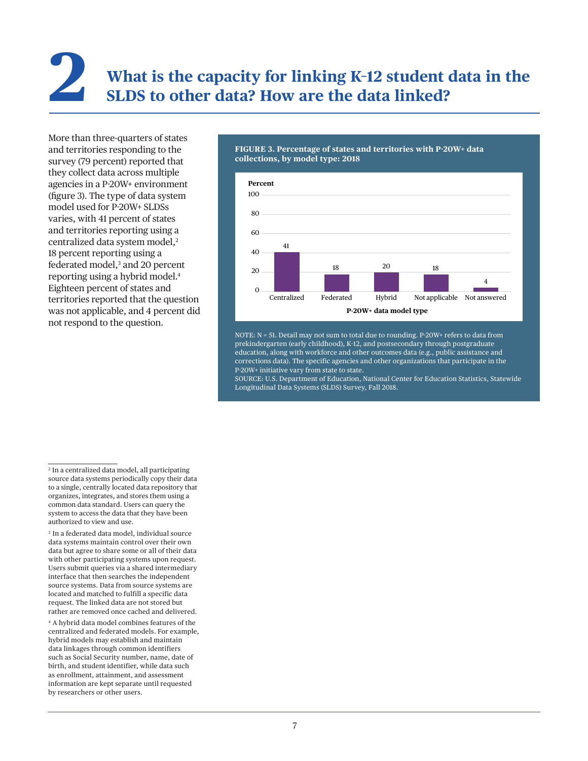# **2 What is the capacity for linking K–12 student data in the SLDS to other data? How are the data linked?**

More than three-quarters of states and territories responding to the survey (79 percent) reported that they collect data across multiple agencies in a P-20W+ environment (figure 3). The type of data system model used for P-20W+ SLDSs varies, with 41 percent of states and territories reporting using a centralized data system model,<sup>2</sup> 18 percent reporting using a federated model,<sup>3</sup> and 20 percent reporting using a hybrid model.4 Eighteen percent of states and territories reported that the question was not applicable, and 4 percent did not respond to the question.

#### **FIGURE 3. Percentage of states and territories with P-20W+ data collections, by model type: 2018**



NOTE: N = 51. Detail may not sum to total due to rounding. P-20W+ refers to data from prekindergarten (early childhood), K–12, and postsecondary through postgraduate education, along with workforce and other outcomes data (e.g., public assistance and corrections data). The specific agencies and other organizations that participate in the P-20W+ initiative vary from state to state.

SOURCE: U.S. Department of Education, National Center for Education Statistics, Statewide Longitudinal Data Systems (SLDS) Survey, Fall 2018.

4 A hybrid data model combines features of the centralized and federated models. For example, hybrid models may establish and maintain data linkages through common identifiers such as Social Security number, name, date of birth, and student identifier, while data such as enrollment, attainment, and assessment information are kept separate until requested by researchers or other users.

<sup>2</sup> In a centralized data model, all participating source data systems periodically copy their data to a single, centrally located data repository that organizes, integrates, and stores them using a common data standard. Users can query the system to access the data that they have been authorized to view and use.

<sup>3</sup> In a federated data model, individual source data systems maintain control over their own data but agree to share some or all of their data with other participating systems upon request. Users submit queries via a shared intermediary interface that then searches the independent source systems. Data from source systems are located and matched to fulfill a specific data request. The linked data are not stored but rather are removed once cached and delivered.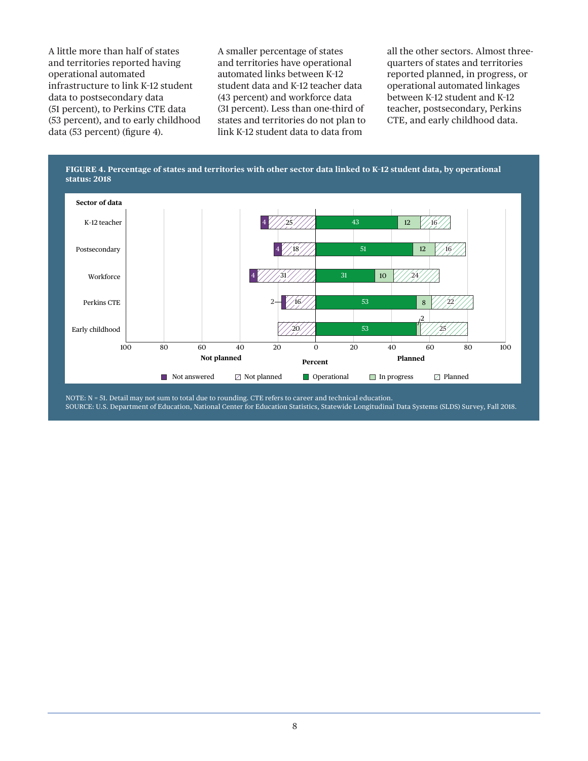A little more than half of states and territories reported having operational automated infrastructure to link K–12 student data to postsecondary data (51 percent), to Perkins CTE data (53 percent), and to early childhood data (53 percent) (figure 4).

A smaller percentage of states and territories have operational automated links between K–12 student data and K–12 teacher data (43 percent) and workforce data (31 percent). Less than one-third of states and territories do not plan to link K–12 student data to data from

all the other sectors. Almost threequarters of states and territories reported planned, in progress, or operational automated linkages between K–12 student and K–12 teacher, postsecondary, Perkins CTE, and early childhood data.



NOTE: N = 51. Detail may not sum to total due to rounding. CTE refers to career and technical education. SOURCE: U.S. Department of Education, National Center for Education Statistics, Statewide Longitudinal Data Systems (SLDS) Survey, Fall 2018.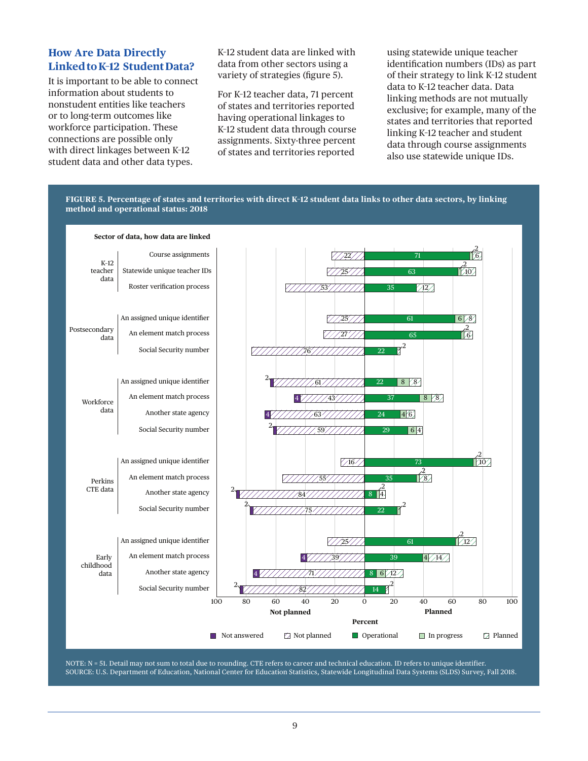#### **How Are Data Directly Linked to K–12 Student Data?**

It is important to be able to connect information about students to nonstudent entities like teachers or to long-term outcomes like workforce participation. These connections are possible only with direct linkages between K–12 student data and other data types.

K–12 student data are linked with data from other sectors using a variety of strategies (figure 5).

For K–12 teacher data, 71 percent of states and territories reported having operational linkages to K–12 student data through course assignments. Sixty-three percent of states and territories reported

using statewide unique teacher identification numbers (IDs) as part of their strategy to link K–12 student data to K–12 teacher data. Data linking methods are not mutually exclusive; for example, many of the states and territories that reported linking K–12 teacher and student data through course assignments also use statewide unique IDs.



NOTE: N = 51. Detail may not sum to total due to rounding. CTE refers to career and technical education. ID refers to unique identifier. SOURCE: U.S. Department of Education, National Center for Education Statistics, Statewide Longitudinal Data Systems (SLDS) Survey, Fall 2018.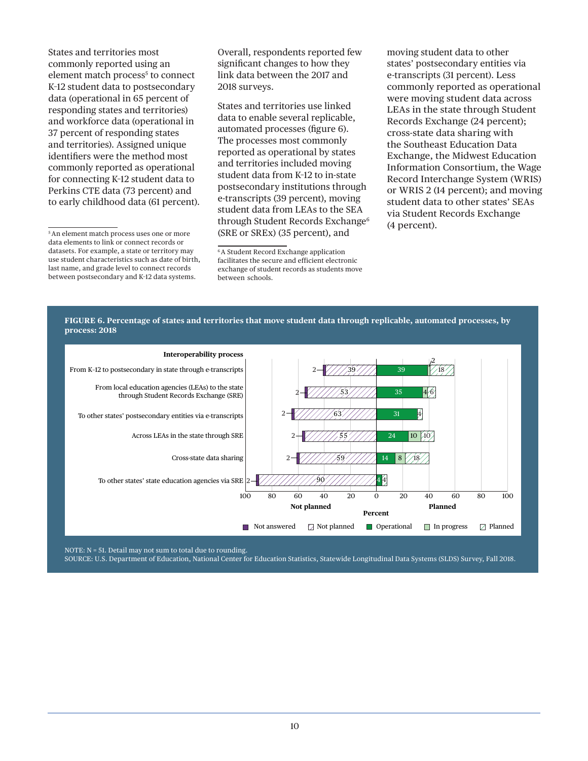States and territories most commonly reported using an element match process<sup>5</sup> to connect K–12 student data to postsecondary data (operational in 65 percent of responding states and territories) and workforce data (operational in 37 percent of responding states and territories). Assigned unique identifiers were the method most commonly reported as operational for connecting K–12 student data to Perkins CTE data (73 percent) and to early childhood data (61 percent). Overall, respondents reported few significant changes to how they link data between the 2017 and 2018 surveys.

States and territories use linked data to enable several replicable, automated processes (figure 6). The processes most commonly reported as operational by states and territories included moving student data from K–12 to in-state postsecondary institutions through e-transcripts (39 percent), moving student data from LEAs to the SEA through Student Records Exchange<sup>6</sup> (SRE or SREx) (35 percent), and

moving student data to other states' postsecondary entities via e-transcripts (31 percent). Less commonly reported as operational were moving student data across LEAs in the state through Student Records Exchange (24 percent); cross-state data sharing with the Southeast Education Data Exchange, the Midwest Education Information Consortium, the Wage Record Interchange System (WRIS) or WRIS 2 (14 percent); and moving student data to other states' SEAs via Student Records Exchange (4 percent).





NOTE: N = 51. Detail may not sum to total due to rounding.

SOURCE: U.S. Department of Education, National Center for Education Statistics, Statewide Longitudinal Data Systems (SLDS) Survey, Fall 2018.

<sup>5</sup> An element match process uses one or more data elements to link or connect records or datasets. For example, a state or territory may use student characteristics such as date of birth, last name, and grade level to connect records between postsecondary and K–12 data systems.

<sup>6</sup>A Student Record Exchange application facilitates the secure and efficient electronic exchange of student records as students move between schools.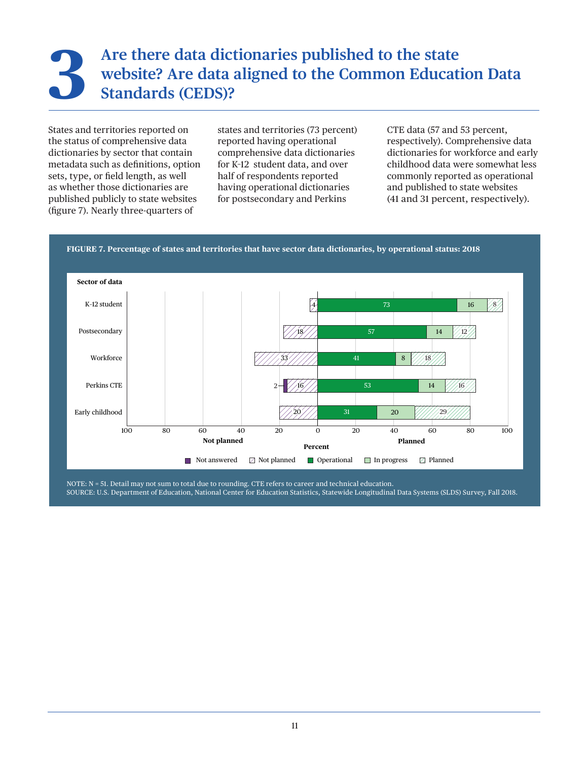## Are there data dictionaries published to the state website? Are data aligned to the Common Educations Standards (CEDS)? **website? Are data aligned to the Common Education Data Standards (CEDS)?**

States and territories reported on the status of comprehensive data dictionaries by sector that contain metadata such as definitions, option sets, type, or field length, as well as whether those dictionaries are published publicly to state websites (figure 7). Nearly three-quarters of

states and territories (73 percent) reported having operational comprehensive data dictionaries for K–12 student data, and over half of respondents reported having operational dictionaries for postsecondary and Perkins

CTE data (57 and 53 percent, respectively). Comprehensive data dictionaries for workforce and early childhood data were somewhat less commonly reported as operational and published to state websites (41 and 31 percent, respectively).





NOTE: N = 51. Detail may not sum to total due to rounding. CTE refers to career and technical education. SOURCE: U.S. Department of Education, National Center for Education Statistics, Statewide Longitudinal Data Systems (SLDS) Survey, Fall 2018.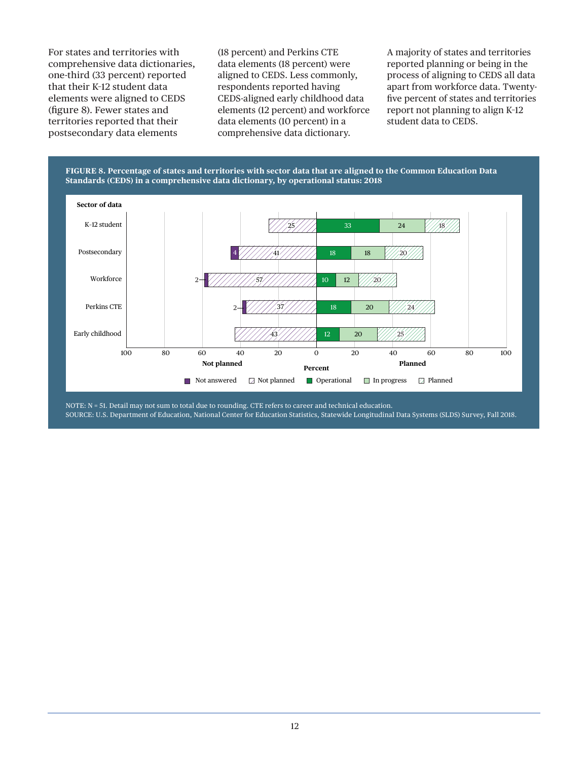For states and territories with comprehensive data dictionaries, one-third (33 percent) reported that their K–12 student data elements were aligned to CEDS (figure 8). Fewer states and territories reported that their postsecondary data elements

(18 percent) and Perkins CTE data elements (18 percent) were aligned to CEDS. Less commonly, respondents reported having CEDS-aligned early childhood data elements (12 percent) and workforce data elements (10 percent) in a comprehensive data dictionary.

A majority of states and territories reported planning or being in the process of aligning to CEDS all data apart from workforce data. Twentyfive percent of states and territories report not planning to align K–12 student data to CEDS.



NOTE: N = 51. Detail may not sum to total due to rounding. CTE refers to career and technical education. SOURCE: U.S. Department of Education, National Center for Education Statistics, Statewide Longitudinal Data Systems (SLDS) Survey, Fall 2018.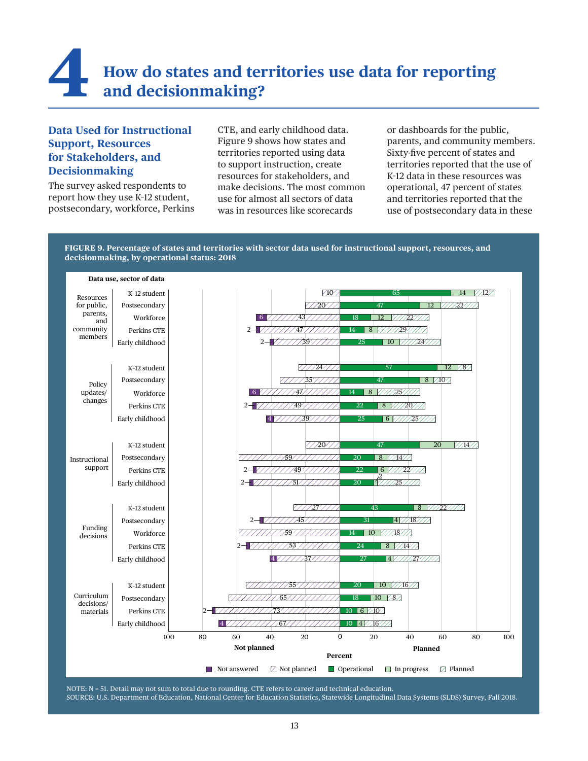## **4 How do states and territories use data for reporting and decisionmaking?**

#### **Data Used for Instructional Support, Resources for Stakeholders, and Decisionmaking**

The survey asked respondents to report how they use K–12 student, postsecondary, workforce, Perkins CTE, and early childhood data. Figure 9 shows how states and territories reported using data to support instruction, create resources for stakeholders, and make decisions. The most common use for almost all sectors of data was in resources like scorecards

or dashboards for the public, parents, and community members. Sixty-five percent of states and territories reported that the use of K–12 data in these resources was operational, 47 percent of states and territories reported that the use of postsecondary data in these

#### **FIGURE 9. Percentage of states and territories with sector data used for instructional support, resources, and decisionmaking, by operational status: 2018**



NOTE: N = 51. Detail may not sum to total due to rounding. CTE refers to career and technical education. SOURCE: U.S. Department of Education, National Center for Education Statistics, Statewide Longitudinal Data Systems (SLDS) Survey, Fall 2018.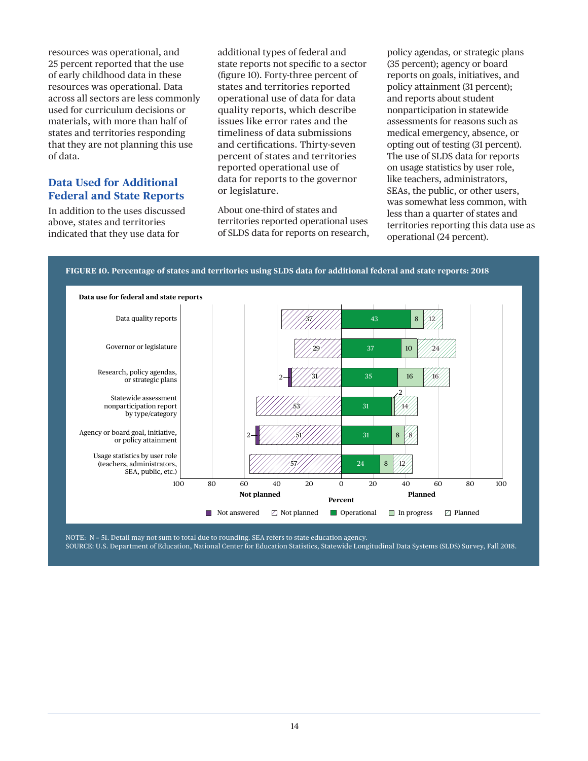resources was operational, and 25 percent reported that the use of early childhood data in these resources was operational. Data across all sectors are less commonly used for curriculum decisions or materials, with more than half of states and territories responding that they are not planning this use of data.

#### **Data Used for Additional Federal and State Reports**

In addition to the uses discussed above, states and territories indicated that they use data for

additional types of federal and state reports not specific to a sector (figure 10). Forty-three percent of states and territories reported operational use of data for data quality reports, which describe issues like error rates and the timeliness of data submissions and certifications. Thirty-seven percent of states and territories reported operational use of data for reports to the governor or legislature.

About one-third of states and territories reported operational uses of SLDS data for reports on research, policy agendas, or strategic plans (35 percent); agency or board reports on goals, initiatives, and policy attainment (31 percent); and reports about student nonparticipation in statewide assessments for reasons such as medical emergency, absence, or opting out of testing (31 percent). The use of SLDS data for reports on usage statistics by user role, like teachers, administrators, SEAs, the public, or other users, was somewhat less common, with less than a quarter of states and territories reporting this data use as operational (24 percent).





NOTE: N = 51. Detail may not sum to total due to rounding. SEA refers to state education agency. SOURCE: U.S. Department of Education, National Center for Education Statistics, Statewide Longitudinal Data Systems (SLDS) Survey, Fall 2018.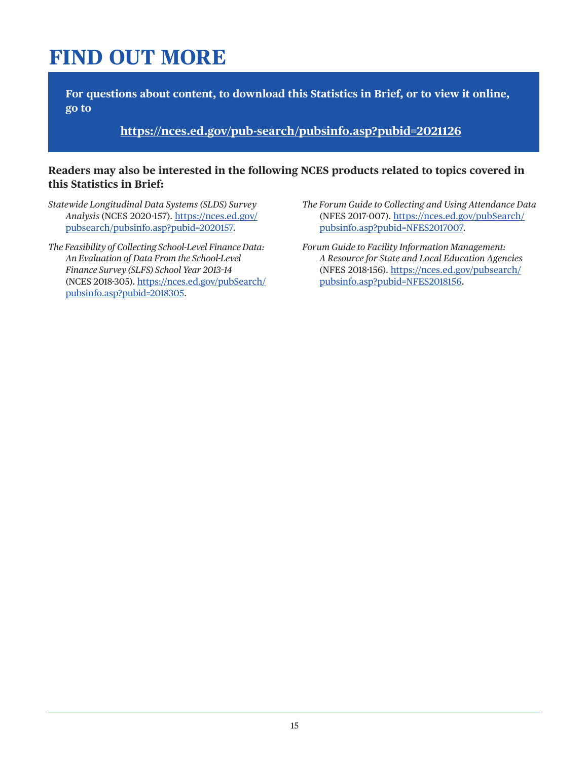## **FIND OUT MORE**

**For questions about content, to download this Statistics in Brief, or to view it online, go to**

**<https://nces.ed.gov/pub-search/pubsinfo.asp?pubid=2021126>**

#### **Readers may also be interested in the following NCES products related to topics covered in this Statistics in Brief:**

- *Statewide Longitudinal Data Systems (SLDS) Survey Analysis* (NCES 2020-157). [https://nces.ed.gov/](https://nces.ed.gov/pubsearch/pubsinfo.asp?pubid=2020157) [pubsearch/pubsinfo.asp?pubid=2020157.](https://nces.ed.gov/pubsearch/pubsinfo.asp?pubid=2020157)
- *The Feasibility of Collecting School-Level Finance Data: An Evaluation of Data From the School-Level Finance Survey (SLFS) School Year 2013–14* (NCES 2018-305). [https://nces.ed.gov/pubSearch/](https://nces.ed.gov/pubSearch/pubsinfo.asp?pubid=2018305) [pubsinfo.asp?pubid=2018305.](https://nces.ed.gov/pubSearch/pubsinfo.asp?pubid=2018305)
- *The Forum Guide to Collecting and Using Attendance Data*  (NFES 2017-007). [https://nces.ed.gov/pubSearch/](https://nces.ed.gov/pubSearch/pubsinfo.asp?pubid=NFES2017007) [pubsinfo.asp?pubid=NFES2017007](https://nces.ed.gov/pubSearch/pubsinfo.asp?pubid=NFES2017007).
- *Forum Guide to Facility Information Management: A Resource for State and Local Education Agencies*  (NFES 2018-156). [https://nces.ed.gov/pubsearch/](https://nces.ed.gov/pubsearch/pubsinfo.asp?pubid=NFES2018156) [pubsinfo.asp?pubid=NFES2018156.](https://nces.ed.gov/pubsearch/pubsinfo.asp?pubid=NFES2018156)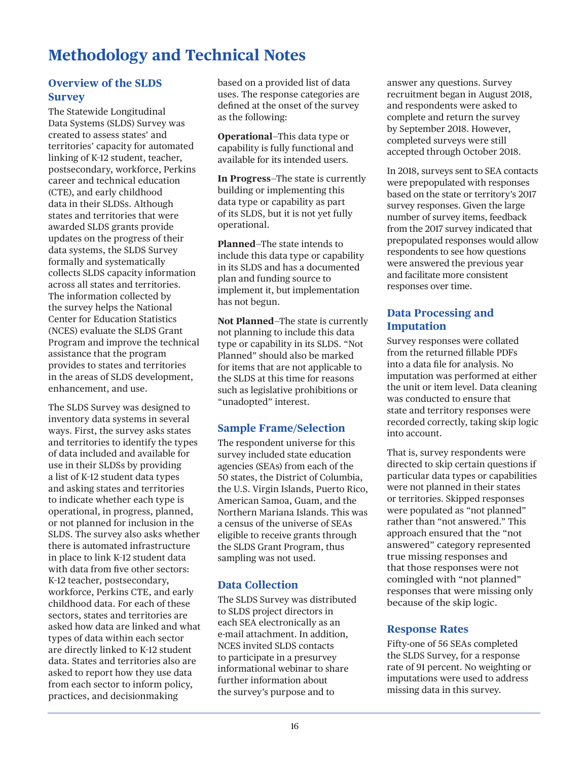### **Methodology and Technical Notes**

### **Overview of the SLDS Survey**

The Statewide Longitudinal Data Systems (SLDS) Survey was created to assess states' and territories' capacity for automated linking of K–12 student, teacher, postsecondary, workforce, Perkins career and technical education (CTE), and early childhood data in their SLDSs. Although states and territories that were awarded SLDS grants provide updates on the progress of their data systems, the SLDS Survey formally and systematically collects SLDS capacity information across all states and territories. The information collected by the survey helps the National Center for Education Statistics (NCES) evaluate the SLDS Grant Program and improve the technical assistance that the program provides to states and territories in the areas of SLDS development, enhancement, and use.

The SLDS Survey was designed to inventory data systems in several ways. First, the survey asks states and territories to identify the types of data included and available for use in their SLDSs by providing a list of K–12 student data types and asking states and territories to indicate whether each type is operational, in progress, planned, or not planned for inclusion in the SLDS. The survey also asks whether there is automated infrastructure in place to link K–12 student data with data from five other sectors: K–12 teacher, postsecondary, workforce, Perkins CTE, and early childhood data. For each of these sectors, states and territories are asked how data are linked and what types of data within each sector are directly linked to K–12 student data. States and territories also are asked to report how they use data from each sector to inform policy, practices, and decisionmaking

based on a provided list of data uses. The response categories are defined at the onset of the survey as the following:

**Operational**—This data type or capability is fully functional and available for its intended users.

**In Progress**—The state is currently building or implementing this data type or capability as part of its SLDS, but it is not yet fully operational.

**Planned**—The state intends to include this data type or capability in its SLDS and has a documented plan and funding source to implement it, but implementation has not begun.

**Not Planned**—The state is currently not planning to include this data type or capability in its SLDS. "Not Planned" should also be marked for items that are not applicable to the SLDS at this time for reasons such as legislative prohibitions or "unadopted" interest.

### **Sample Frame/Selection**

The respondent universe for this survey included state education agencies (SEAs) from each of the 50 states, the District of Columbia, the U.S. Virgin Islands, Puerto Rico, American Samoa, Guam, and the Northern Mariana Islands. This was a census of the universe of SEAs eligible to receive grants through the SLDS Grant Program, thus sampling was not used.

#### **Data Collection**

The SLDS Survey was distributed to SLDS project directors in each SEA electronically as an e-mail attachment. In addition, NCES invited SLDS contacts to participate in a presurvey informational webinar to share further information about the survey's purpose and to

answer any questions. Survey recruitment began in August 2018, and respondents were asked to complete and return the survey by September 2018. However, completed surveys were still accepted through October 2018.

In 2018, surveys sent to SEA contacts were prepopulated with responses based on the state or territory's 2017 survey responses. Given the large number of survey items, feedback from the 2017 survey indicated that prepopulated responses would allow respondents to see how questions were answered the previous year and facilitate more consistent responses over time.

#### **Data Processing and Imputation**

Survey responses were collated from the returned fillable PDFs into a data file for analysis. No imputation was performed at either the unit or item level. Data cleaning was conducted to ensure that state and territory responses were recorded correctly, taking skip logic into account.

That is, survey respondents were directed to skip certain questions if particular data types or capabilities were not planned in their states or territories. Skipped responses were populated as "not planned" rather than "not answered." This approach ensured that the "not answered" category represented true missing responses and that those responses were not comingled with "not planned" responses that were missing only because of the skip logic.

#### **Response Rates**

Fifty-one of 56 SEAs completed the SLDS Survey, for a response rate of 91 percent. No weighting or imputations were used to address missing data in this survey.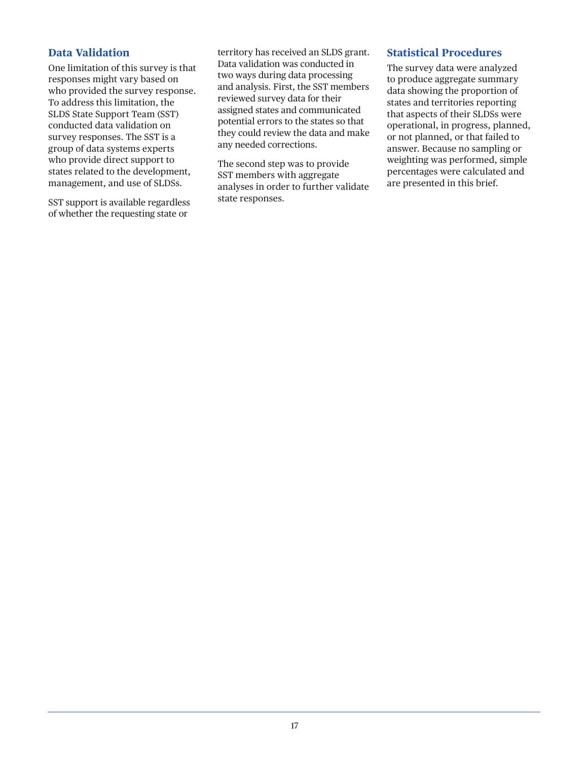#### **Data Validation**

One limitation of this survey is that responses might vary based on who provided the survey response. To address this limitation, the SLDS State Support Team (SST) conducted data validation on survey responses. The SST is a group of data systems experts who provide direct support to states related to the development, management, and use of SLDSs.

SST support is available regardless of whether the requesting state or

territory has received an SLDS grant. Data validation was conducted in two ways during data processing and analysis. First, the SST members reviewed survey data for their assigned states and communicated potential errors to the states so that they could review the data and make any needed corrections.

The second step was to provide SST members with aggregate analyses in order to further validate state responses.

#### **Statistical Procedures**

The survey data were analyzed to produce aggregate summary data showing the proportion of states and territories reporting that aspects of their SLDSs were operational, in progress, planned, or not planned, or that failed to answer. Because no sampling or weighting was performed, simple percentages were calculated and are presented in this brief.